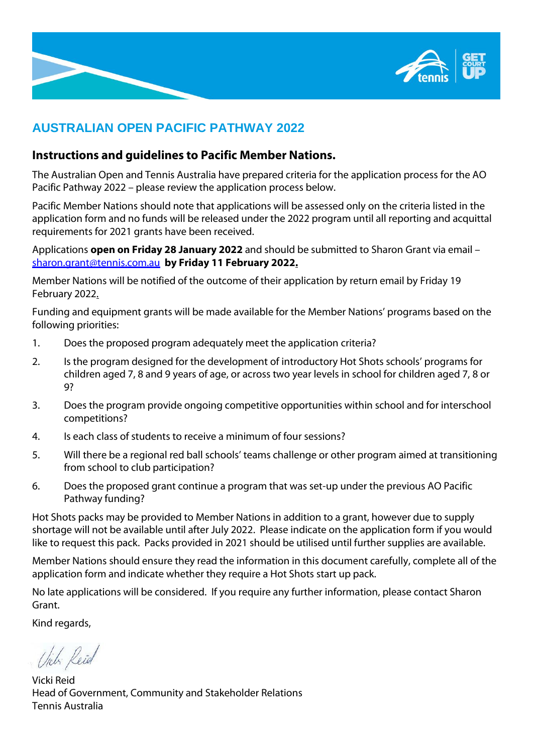

# **AUSTRALIAN OPEN PACIFIC PATHWAY 2022**

# **Instructions and guidelines to Pacific Member Nations.**

The Australian Open and Tennis Australia have prepared criteria for the application process for the AO Pacific Pathway 2022 – please review the application process below.

Pacific Member Nations should note that applications will be assessed only on the criteria listed in the application form and no funds will be released under the 2022 program until all reporting and acquittal requirements for 2021 grants have been received.

Applications **open on Friday 28 January 2022** and should be submitted to Sharon Grant via email – [sharon.grant@tennis.com.au](mailto:sharon.grant@tennis.com.au) **by Friday 11 February 2022.**

Member Nations will be notified of the outcome of their application by return email by Friday 19 February 2022.

Funding and equipment grants will be made available for the Member Nations' programs based on the following priorities:

- 1. Does the proposed program adequately meet the application criteria?
- 2. Is the program designed for the development of introductory Hot Shots schools' programs for children aged 7, 8 and 9 years of age, or across two year levels in school for children aged 7, 8 or 9?
- 3. Does the program provide ongoing competitive opportunities within school and for interschool competitions?
- 4. Is each class of students to receive a minimum of four sessions?
- 5. Will there be a regional red ball schools' teams challenge or other program aimed at transitioning from school to club participation?
- 6. Does the proposed grant continue a program that was set-up under the previous AO Pacific Pathway funding?

Hot Shots packs may be provided to Member Nations in addition to a grant, however due to supply shortage will not be available until after July 2022. Please indicate on the application form if you would like to request this pack. Packs provided in 2021 should be utilised until further supplies are available.

Member Nations should ensure they read the information in this document carefully, complete all of the application form and indicate whether they require a Hot Shots start up pack.

No late applications will be considered. If you require any further information, please contact Sharon Grant.

Kind regards,

Uich Reid

Vicki Reid Head of Government, Community and Stakeholder Relations Tennis Australia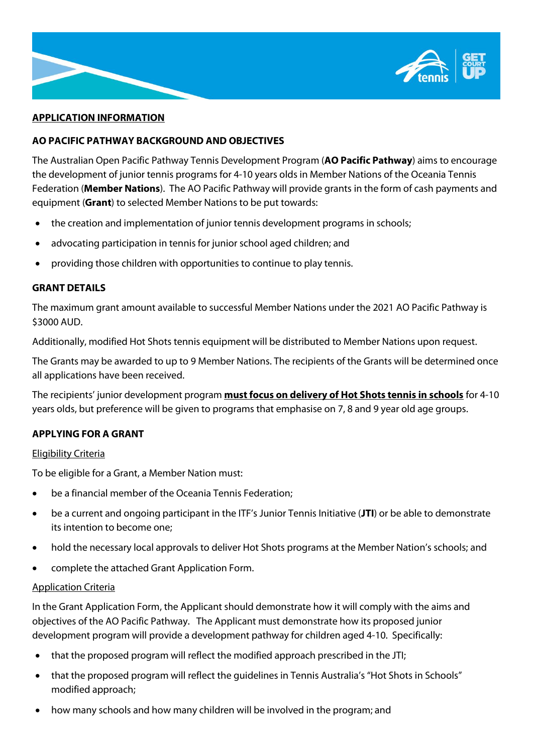

#### **APPLICATION INFORMATION**

## **AO PACIFIC PATHWAY BACKGROUND AND OBJECTIVES**

The Australian Open Pacific Pathway Tennis Development Program (**AO Pacific Pathway**) aims to encourage the development of junior tennis programs for 4-10 years olds in Member Nations of the Oceania Tennis Federation (**Member Nations**). The AO Pacific Pathway will provide grants in the form of cash payments and equipment (**Grant**) to selected Member Nations to be put towards:

- the creation and implementation of junior tennis development programs in schools;
- advocating participation in tennis for junior school aged children; and
- providing those children with opportunities to continue to play tennis.

## **GRANT DETAILS**

The maximum grant amount available to successful Member Nations under the 2021 AO Pacific Pathway is \$3000 AUD.

Additionally, modified Hot Shots tennis equipment will be distributed to Member Nations upon request.

The Grants may be awarded to up to 9 Member Nations. The recipients of the Grants will be determined once all applications have been received.

The recipients' junior development program **must focus on delivery of Hot Shots tennis in schools** for 4-10 years olds, but preference will be given to programs that emphasise on 7, 8 and 9 year old age groups.

# **APPLYING FOR A GRANT**

#### Eligibility Criteria

To be eligible for a Grant, a Member Nation must:

- be a financial member of the Oceania Tennis Federation;
- be a current and ongoing participant in the ITF's Junior Tennis Initiative (**JTI**) or be able to demonstrate its intention to become one;
- hold the necessary local approvals to deliver Hot Shots programs at the Member Nation's schools; and
- complete the attached Grant Application Form.

#### Application Criteria

In the Grant Application Form, the Applicant should demonstrate how it will comply with the aims and objectives of the AO Pacific Pathway. The Applicant must demonstrate how its proposed junior development program will provide a development pathway for children aged 4-10. Specifically:

- that the proposed program will reflect the modified approach prescribed in the JTI;
- that the proposed program will reflect the guidelines in Tennis Australia's "Hot Shots in Schools" modified approach;
- how many schools and how many children will be involved in the program; and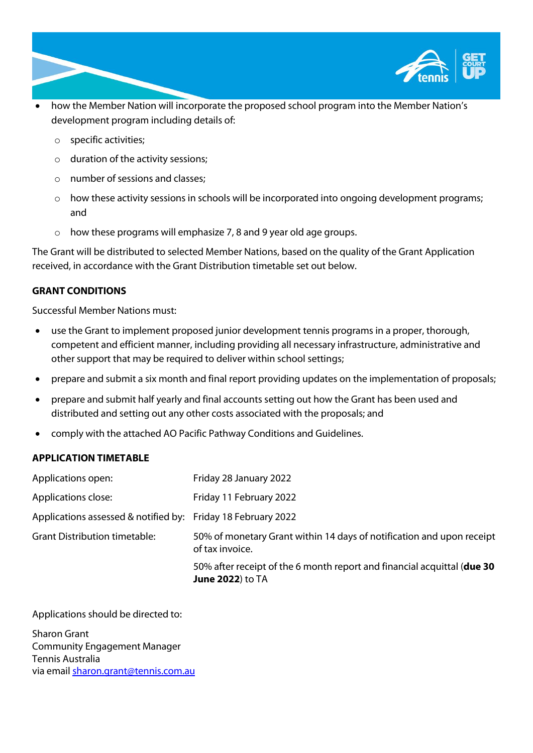

- how the Member Nation will incorporate the proposed school program into the Member Nation's development program including details of:
	- o specific activities;
	- o duration of the activity sessions;
	- o number of sessions and classes;
	- $\circ$  how these activity sessions in schools will be incorporated into ongoing development programs; and
	- o how these programs will emphasize 7, 8 and 9 year old age groups.

The Grant will be distributed to selected Member Nations, based on the quality of the Grant Application received, in accordance with the Grant Distribution timetable set out below.

# **GRANT CONDITIONS**

Successful Member Nations must:

- use the Grant to implement proposed junior development tennis programs in a proper, thorough, competent and efficient manner, including providing all necessary infrastructure, administrative and other support that may be required to deliver within school settings;
- prepare and submit a six month and final report providing updates on the implementation of proposals;
- prepare and submit half yearly and final accounts setting out how the Grant has been used and distributed and setting out any other costs associated with the proposals; and
- comply with the attached AO Pacific Pathway Conditions and Guidelines.

#### **APPLICATION TIMETABLE**

| Applications open:                                           | Friday 28 January 2022                                                                              |
|--------------------------------------------------------------|-----------------------------------------------------------------------------------------------------|
| Applications close:                                          | Friday 11 February 2022                                                                             |
| Applications assessed & notified by: Friday 18 February 2022 |                                                                                                     |
| <b>Grant Distribution timetable:</b>                         | 50% of monetary Grant within 14 days of notification and upon receipt<br>of tax invoice.            |
|                                                              | 50% after receipt of the 6 month report and financial acquittal (due 30<br><b>June 2022</b> ) to TA |

Applications should be directed to:

Sharon Grant Community Engagement Manager Tennis Australia via email [sharon.grant@tennis.com.au](mailto::sharon.grant@tennis.com.au)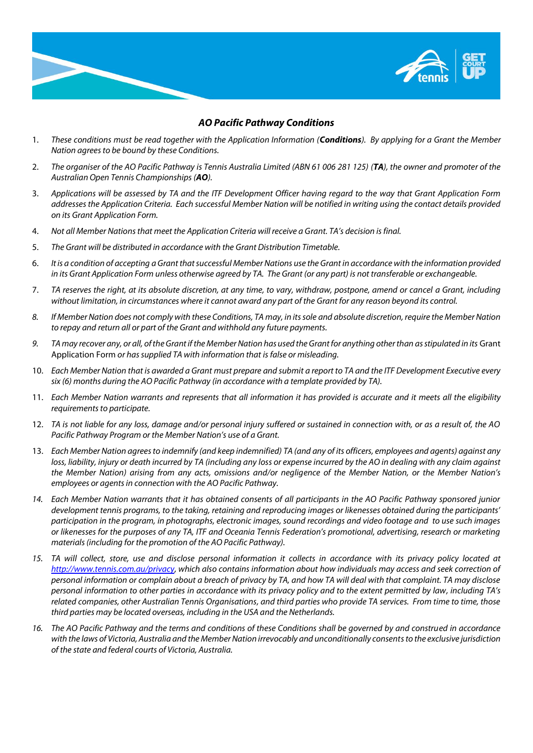

#### *AO Pacific Pathway Conditions*

- 1. *These conditions must be read together with the Application Information (Conditions). By applying for a Grant the Member Nation agrees to be bound by these Conditions.*
- 2. *The organiser of the AO Pacific Pathway is Tennis Australia Limited (ABN 61 006 281 125) (TA), the owner and promoter of the Australian Open Tennis Championships (AO).*
- 3. *Applications will be assessed by TA and the ITF Development Officer having regard to the way that Grant Application Form addresses the Application Criteria. Each successful Member Nation will be notified in writing using the contact details provided on its Grant Application Form.*
- 4. *Not all Member Nations that meet the Application Criteria will receive a Grant. TA's decision is final.*
- 5. *The Grant will be distributed in accordance with the Grant Distribution Timetable.*
- 6. *It is a condition of accepting a Grant that successful Member Nations use the Grant in accordance with the information provided in its Grant Application Form unless otherwise agreed by TA. The Grant (or any part) is not transferable or exchangeable.*
- 7. *TA reserves the right, at its absolute discretion, at any time, to vary, withdraw, postpone, amend or cancel a Grant, including without limitation, in circumstances where it cannot award any part of the Grant for any reason beyond its control.*
- *8. If Member Nation does not comply with these Conditions, TA may, in its sole and absolute discretion, require the Member Nation to repay and return all or part of the Grant and withhold any future payments.*
- *9. TA may recover any, or all, of the Grant if the Member Nation has used the Grant for anything other than as stipulated in its* Grant Application Form *or has supplied TA with information that is false or misleading.*
- 10. *Each Member Nation that is awarded a Grant must prepare and submit a report to TA and the ITF Development Executive every six (6) months during the AO Pacific Pathway (in accordance with a template provided by TA).*
- 11. *Each Member Nation warrants and represents that all information it has provided is accurate and it meets all the eligibility requirements to participate.*
- 12. *TA is not liable for any loss, damage and/or personal injury suffered or sustained in connection with, or as a result of, the AO Pacific Pathway Program or the Member Nation's use of a Grant.*
- 13. *Each Member Nation agrees to indemnify (and keep indemnified) TA (and any of its officers, employees and agents) against any loss, liability, injury or death incurred by TA (including any loss or expense incurred by the AO in dealing with any claim against the Member Nation) arising from any acts, omissions and/or negligence of the Member Nation, or the Member Nation's employees or agents in connection with the AO Pacific Pathway.*
- *14. Each Member Nation warrants that it has obtained consents of all participants in the AO Pacific Pathway sponsored junior development tennis programs, to the taking, retaining and reproducing images or likenesses obtained during the participants' participation in the program, in photographs, electronic images, sound recordings and video footage and to use such images or likenesses for the purposes of any TA, ITF and Oceania Tennis Federation's promotional, advertising, research or marketing materials (including for the promotion of the AO Pacific Pathway).*
- *15. TA will collect, store, use and disclose personal information it collects in accordance with its privacy policy located at [http://www.tennis.com.au/privacy,](http://www.tennis.com.au/privacy) which also contains information about how individuals may access and seek correction of personal information or complain about a breach of privacy by TA, and how TA will deal with that complaint. TA may disclose personal information to other parties in accordance with its privacy policy and to the extent permitted by law, including TA's related companies, other Australian Tennis Organisations, and third parties who provide TA services. From time to time, those third parties may be located overseas, including in the USA and the Netherlands.*
- *16. The AO Pacific Pathway and the terms and conditions of these Conditions shall be governed by and construed in accordance*  with the laws of Victoria, Australia and the Member Nation irrevocably and unconditionally consents to the exclusive jurisdiction *of the state and federal courts of Victoria, Australia.*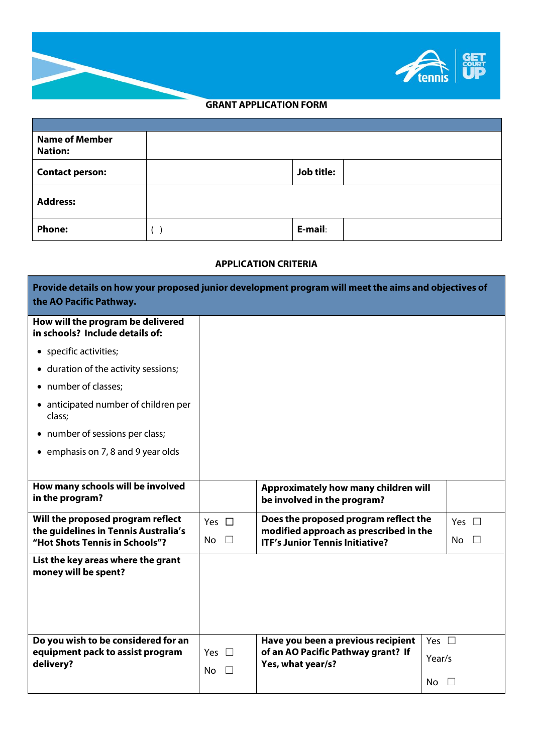

# **GRANT APPLICATION FORM**

| <b>Name of Member</b><br><b>Nation:</b> |                   |
|-----------------------------------------|-------------------|
| <b>Contact person:</b>                  | <b>Job title:</b> |
| <b>Address:</b>                         |                   |
| <b>Phone:</b>                           | E-mail:           |

#### **APPLICATION CRITERIA**

| Provide details on how your proposed junior development program will meet the aims and objectives of<br>the AO Pacific Pathway. |                      |                                                                                                                                 |              |               |        |  |
|---------------------------------------------------------------------------------------------------------------------------------|----------------------|---------------------------------------------------------------------------------------------------------------------------------|--------------|---------------|--------|--|
| How will the program be delivered<br>in schools? Include details of:                                                            |                      |                                                                                                                                 |              |               |        |  |
| • specific activities;                                                                                                          |                      |                                                                                                                                 |              |               |        |  |
| • duration of the activity sessions;                                                                                            |                      |                                                                                                                                 |              |               |        |  |
| • number of classes;                                                                                                            |                      |                                                                                                                                 |              |               |        |  |
| • anticipated number of children per<br>class;                                                                                  |                      |                                                                                                                                 |              |               |        |  |
| • number of sessions per class;                                                                                                 |                      |                                                                                                                                 |              |               |        |  |
| • emphasis on 7, 8 and 9 year olds                                                                                              |                      |                                                                                                                                 |              |               |        |  |
|                                                                                                                                 |                      |                                                                                                                                 |              |               |        |  |
| How many schools will be involved<br>in the program?                                                                            |                      | Approximately how many children will<br>be involved in the program?                                                             |              |               |        |  |
| Will the proposed program reflect                                                                                               | Yes $\Box$           | Does the proposed program reflect the<br>modified approach as prescribed in the<br><b>ITF's Junior Tennis Initiative?</b>       |              | Yes $\square$ |        |  |
| the guidelines in Tennis Australia's<br>"Hot Shots Tennis in Schools"?                                                          | <b>No</b><br>$\Box$  |                                                                                                                                 |              | <b>No</b>     | $\Box$ |  |
| List the key areas where the grant<br>money will be spent?                                                                      |                      |                                                                                                                                 |              |               |        |  |
| Do you wish to be considered for an                                                                                             |                      | Have you been a previous recipient<br>of an AO Pacific Pathway grant? If<br><b>Yes</b><br>$\Box$<br>Year/s<br>Yes, what year/s? |              | Yes $\square$ |        |  |
| equipment pack to assist program<br>delivery?                                                                                   |                      |                                                                                                                                 |              |               |        |  |
|                                                                                                                                 | <b>No</b><br>$\perp$ |                                                                                                                                 | No $\square$ |               |        |  |